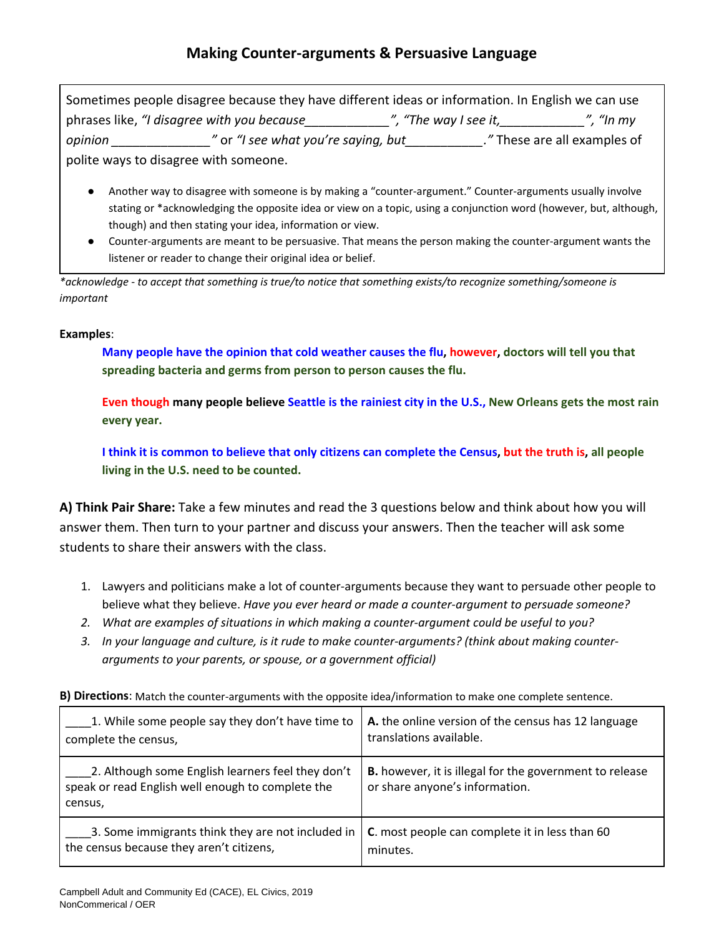Sometimes people disagree because they have different ideas or information. In English we can use phrases like, *"I disagree with you because* The *", "The way I see it,* The way I see it, the my *n opinion m* and *m opinion m m opinion m m opinion m m or "I see what you're saying, but m <i>n m nese are all examples of* polite ways to disagree with someone.

- Another way to disagree with someone is by making a "counter-argument." Counter-arguments usually involve stating or \*acknowledging the opposite idea or view on a topic, using a conjunction word (however, but, although, though) and then stating your idea, information or view.
- Counter-arguments are meant to be persuasive. That means the person making the counter-argument wants the listener or reader to change their original idea or belief.

*\*acknowledge - to accept that something is true/to notice that something exists/to recognize something/someone is important*

## **Examples**:

**Many people have the opinion that cold weather causes the flu, however, doctors will tell you that spreading bacteria and germs from person to person causes the flu.**

**Even though many people believe Seattle is the rainiest city in the U.S., New Orleans gets the most rain every year.**

**I think it is common to believe that only citizens can complete the Census, but the truth is, all people living in the U.S. need to be counted.**

**A) Think Pair Share:** Take a few minutes and read the 3 questions below and think about how you will answer them. Then turn to your partner and discuss your answers. Then the teacher will ask some students to share their answers with the class.

- 1. Lawyers and politicians make a lot of counter-arguments because they want to persuade other people to believe what they believe. *Have you ever heard or made a counter-argument to persuade someone?*
- *2. What are examples of situations in which making a counter-argument could be useful to you?*
- *3. In your language and culture, is it rude to make counter-arguments? (think about making counterarguments to your parents, or spouse, or a government official)*

| 1. While some people say they don't have time to                                                                  | A. the online version of the census has 12 language                                              |
|-------------------------------------------------------------------------------------------------------------------|--------------------------------------------------------------------------------------------------|
| complete the census,                                                                                              | translations available.                                                                          |
| 2. Although some English learners feel they don't<br>speak or read English well enough to complete the<br>census, | <b>B.</b> however, it is illegal for the government to release<br>or share anyone's information. |
| 3. Some immigrants think they are not included in                                                                 | C. most people can complete it in less than 60                                                   |
| the census because they aren't citizens,                                                                          | minutes.                                                                                         |

**B) Directions**: Match the counter-arguments with the opposite idea/information to make one complete sentence.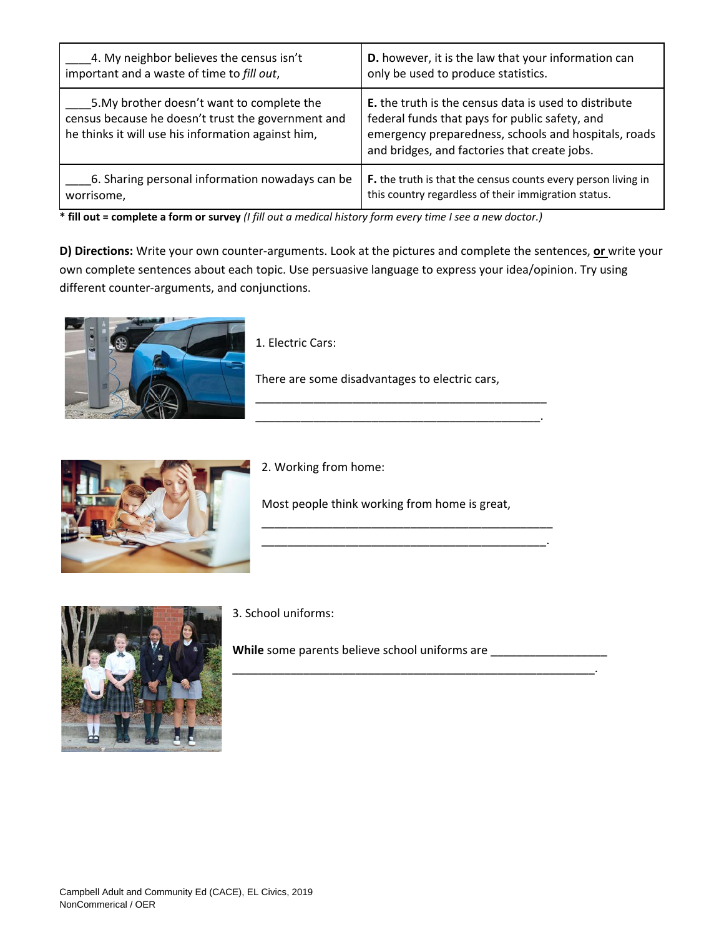| 4. My neighbor believes the census isn't                                                                                                               | D. however, it is the law that your information can                                                                                                                                                                    |
|--------------------------------------------------------------------------------------------------------------------------------------------------------|------------------------------------------------------------------------------------------------------------------------------------------------------------------------------------------------------------------------|
| important and a waste of time to fill out,                                                                                                             | only be used to produce statistics.                                                                                                                                                                                    |
| 5. My brother doesn't want to complete the<br>census because he doesn't trust the government and<br>he thinks it will use his information against him, | <b>E.</b> the truth is the census data is used to distribute<br>federal funds that pays for public safety, and<br>emergency preparedness, schools and hospitals, roads<br>and bridges, and factories that create jobs. |
| 6. Sharing personal information nowadays can be                                                                                                        | F. the truth is that the census counts every person living in                                                                                                                                                          |
| worrisome,                                                                                                                                             | this country regardless of their immigration status.                                                                                                                                                                   |

**\* fill out = complete a form or survey** *(I fill out a medical history form every time I see a new doctor.)*

**D) Directions:** Write your own counter-arguments. Look at the pictures and complete the sentences, **or** write your own complete sentences about each topic. Use persuasive language to express your idea/opinion. Try using different counter-arguments, and conjunctions.



1. Electric Cars:

There are some disadvantages to electric cars,

\_\_\_\_\_\_\_\_\_\_\_\_\_\_\_\_\_\_\_\_\_\_\_\_\_\_\_\_\_\_\_\_\_\_\_\_\_\_\_\_\_\_\_\_.



2. Working from home:

Most people think working from home is great,

\_\_\_\_\_\_\_\_\_\_\_\_\_\_\_\_\_\_\_\_\_\_\_\_\_\_\_\_\_\_\_\_\_\_\_\_\_\_\_\_\_\_\_\_\_ \_\_\_\_\_\_\_\_\_\_\_\_\_\_\_\_\_\_\_\_\_\_\_\_\_\_\_\_\_\_\_\_\_\_\_\_\_\_\_\_\_\_\_\_.

\_\_\_\_\_\_\_\_\_\_\_\_\_\_\_\_\_\_\_\_\_\_\_\_\_\_\_\_\_\_\_\_\_\_\_\_\_\_\_\_\_\_\_\_\_\_\_\_\_\_\_\_\_\_\_\_.



3. School uniforms:

While some parents believe school uniforms are \_\_\_\_\_\_\_\_\_\_\_\_\_\_\_\_\_\_\_\_\_\_\_\_\_\_\_\_\_\_\_\_\_